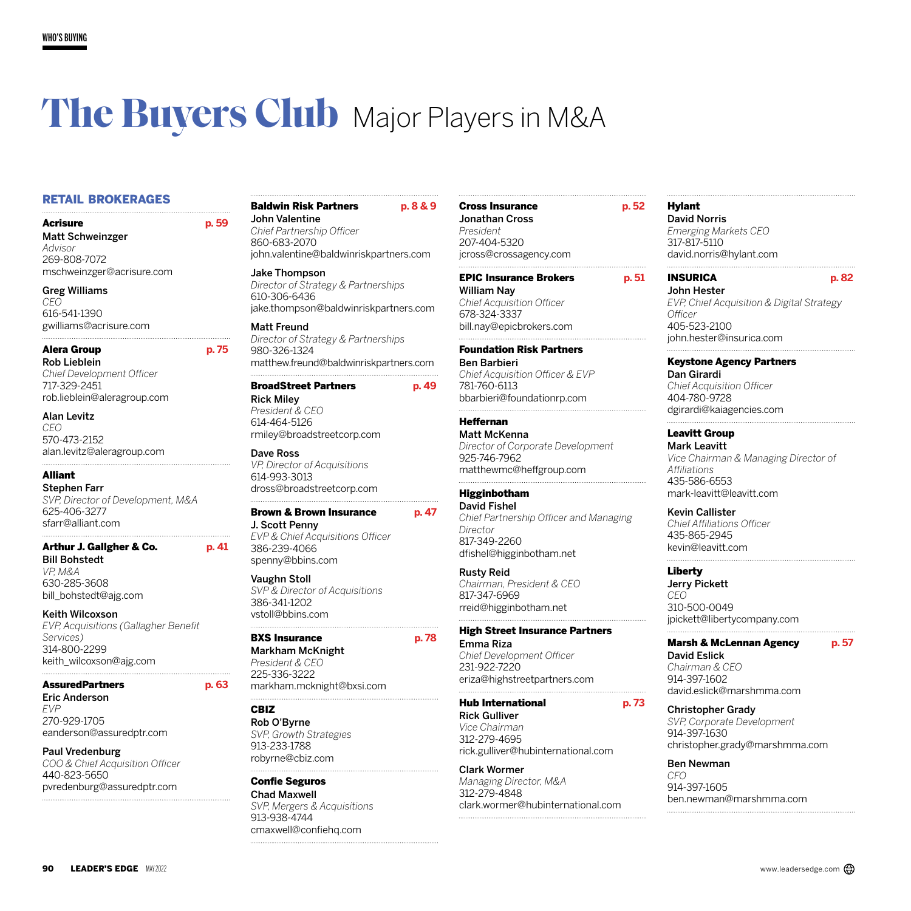# **The Buyers Club** Major Players in M&A

## RETAIL BROKERAGES

Acrisure **p. 59**  Matt Schweinzger *Advisor* 269-808-7072 mschweinzger@acrisure.com

Greg Williams *CEO* 616-541-1390 gwilliams@acrisure.com

#### Alera Group **p. 75**

Rob Lieblein *Chief Development Officer* 717-329-2451 rob.lieblein@aleragroup.com

Alan Levitz *CEO*

570-473-2152 alan.levitz@aleragroup.com

## Alliant

Stephen Farr *SVP, Director of Development, M&A* 625-406-3277 sfarr@alliant.com

#### Arthur J. Gallgher & Co. **p. 41**

Bill Bohstedt *VP, M&A* 630-285-3608 bill\_bohstedt@ajg.com

#### Keith Wilcoxson

*EVP, Acquisitions (Gallagher Benefit Services)* 314-800-2299 keith\_wilcoxson@ajg.com

## AssuredPartners **p. 63**

Eric Anderson *EVP* 270-929-1705 eanderson@assuredptr.com

#### Paul Vredenburg

*COO & Chief Acquisition Officer* 440-823-5650 pvredenburg@assuredptr.com

## Baldwin Risk Partners **p. 8 & 9** John Valentine

*Chief Partnership Officer* 860-683-2070 john.valentine@baldwinriskpartners.com

#### Jake Thompson *Director of Strategy & Partnerships* 610-306-6436 jake.thompson@baldwinriskpartners.com

Matt Freund *Director of Strategy & Partnerships* 980-326-1324 matthew.freund@baldwinriskpartners.com

## BroadStreet Partners **p. 49**

Rick Miley *President & CEO* 614-464-5126 rmiley@broadstreetcorp.com

Dave Ross *VP, Director of Acquisitions* 614-993-3013 dross@broadstreetcorp.com

## Brown & Brown Insurance **p. 47**

J. Scott Penny *EVP & Chief Acquisitions Officer* 386-239-4066 spenny@bbins.com

#### Vaughn Stoll

*SVP & Director of Acquisitions* 386-341-1202 vstoll@bbins.com

#### BXS Insurance **p. 78**

Markham McKnight *President & CEO* 225-336-3222 markham.mcknight@bxsi.com

## CBIZ

Rob O'Byrne *SVP, Growth Strategies* 913-233-1788 robyrne@cbiz.com

Confie Seguros Chad Maxwell *SVP, Mergers & Acquisitions* 913-938-4744 cmaxwell@confiehq.com

## Cross Insurance **p. 52** Jonathan Cross

*President* 207-404-5320 jcross@crossagency.com

## EPIC Insurance Brokers **p. 51**

William Nay *Chief Acquisition Officer* 678-324-3337 bill.nay@epicbrokers.com

## Foundation Risk Partners

Ben Barbieri *Chief Acquisition Officer & EVP* 781-760-6113 bbarbieri@foundationrp.com

## Heffernan

Matt McKenna *Director of Corporate Development* 925-746-7962 matthewmc@heffgroup.com

## Higginbotham

David Fishel *Chief Partnership Officer and Managing Director* 817-349-2260 dfishel@higginbotham.net

## Rusty Reid

*Chairman, President & CEO* 817-347-6969 rreid@higginbotham.net

#### High Street Insurance Partners

Emma Riza *Chief Development Officer* 231-922-7220 eriza@highstreetpartners.com

## Hub International **p. 73**

Rick Gulliver *Vice Chairman* 312-279-4695 rick.gulliver@hubinternational.com

#### Clark Wormer

*Managing Director, M&A* 312-279-4848 clark.wormer@hubinternational.com

## Hylant

David Norris *Emerging Markets CEO* 317-817-5110 david.norris@hylant.com

## INSURICA **p. 82**

John Hester *EVP, Chief Acquisition & Digital Strategy Officer* 405-523-2100 john.hester@insurica.com

## Keystone Agency Partners

Dan Girardi *Chief Acquisition Officer* 404-780-9728 dgirardi@kaiagencies.com

#### Leavitt Group

Mark Leavitt *Vice Chairman & Managing Director of Affiliations* 435-586-6553 mark-leavitt@leavitt.com

#### Kevin Callister

*Chief Affiliations Officer* 435-865-2945 kevin@leavitt.com

## Liberty

Jerry Pickett *CEO* 310-500-0049 jpickett@libertycompany.com

## Marsh & McLennan Agency **p. 57**

David Eslick *Chairman & CEO* 914-397-1602 david.eslick@marshmma.com

#### Christopher Grady

*SVP, Corporate Development* 914-397-1630 christopher.grady@marshmma.com

#### Ben Newman

*CFO* 914-397-1605 ben.newman@marshmma.com